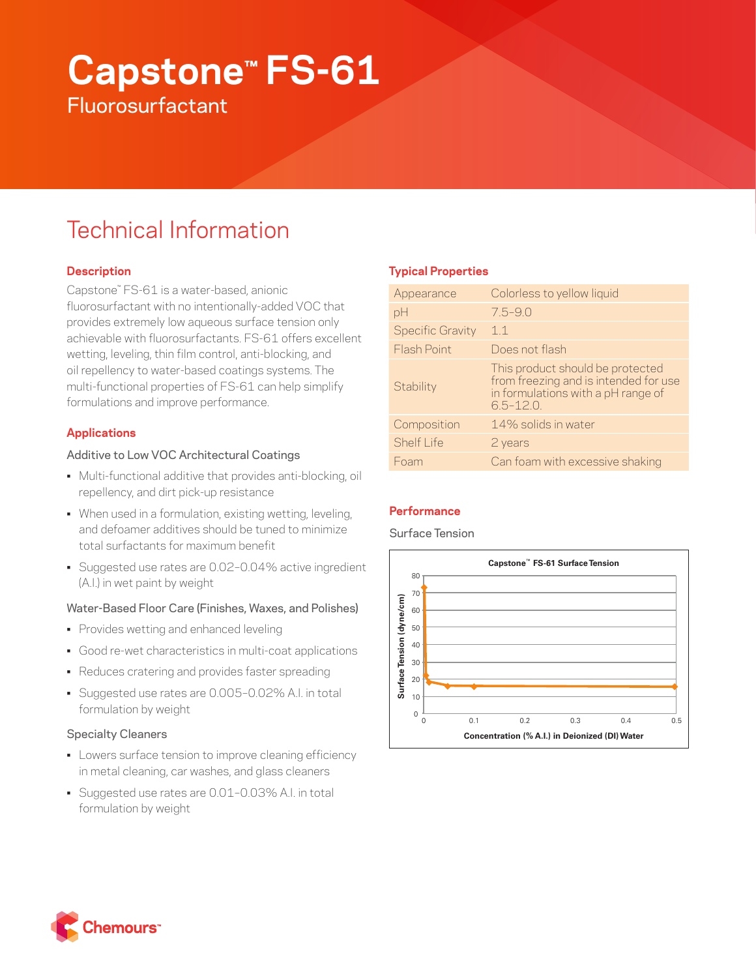# **Capstone™ FS-61 Fluorosurfactant**

## Technical Information

## **Description**

Capstone™ FS-61 is a water-based, anionic fluorosurfactant with no intentionally-added VOC that provides extremely low aqueous surface tension only achievable with fluorosurfactants. FS-61 offers excellent wetting, leveling, thin film control, anti-blocking, and oil repellency to water-based coatings systems. The multi-functional properties of FS-61 can help simplify formulations and improve performance.

## **Applications**

## Additive to Low VOC Architectural Coatings

- Multi-functional additive that provides anti-blocking, oil repellency, and dirt pick-up resistance
- When used in a formulation, existing wetting, leveling, and defoamer additives should be tuned to minimize total surfactants for maximum benefit
- Suggested use rates are 0.02–0.04% active ingredient (A.I.) in wet paint by weight

## Water-Based Floor Care (Finishes, Waxes, and Polishes)

- Provides wetting and enhanced leveling
- Good re-wet characteristics in multi-coat applications
- Reduces cratering and provides faster spreading
- Suggested use rates are 0.005–0.02% A.I. in total formulation by weight

## Specialty Cleaners

- Lowers surface tension to improve cleaning efficiency in metal cleaning, car washes, and glass cleaners
- Suggested use rates are 0.01–0.03% A.I. in total formulation by weight

## **Typical Properties**

| Appearance              | Colorless to yellow liquid                                                                                                      |
|-------------------------|---------------------------------------------------------------------------------------------------------------------------------|
| pH                      | $7.5 - 9.0$                                                                                                                     |
| <b>Specific Gravity</b> | 1.1                                                                                                                             |
| Flash Point             | Does not flash                                                                                                                  |
| Stability               | This product should be protected<br>from freezing and is intended for use<br>in formulations with a pH range of<br>$6.5 - 12.0$ |
| Composition             | 14% solids in water                                                                                                             |
| <b>Shelf Life</b>       | 2 years                                                                                                                         |
| Foam                    | Can foam with excessive shaking                                                                                                 |

## **Performance**